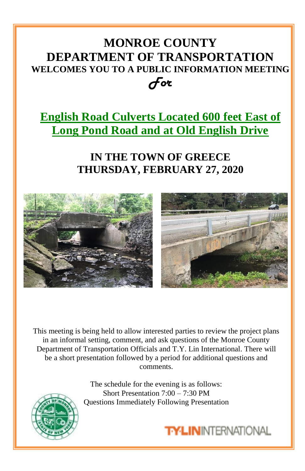## **MONROE COUNTY DEPARTMENT OF TRANSPORTATION WELCOMES YOU TO A PUBLIC INFORMATION MEETING** *For*

## **English Road Culverts Located 600 feet East of Long Pond Road and at Old English Drive**

## **IN THE TOWN OF GREECE THURSDAY, FEBRUARY 27, 2020**



This meeting is being held to allow interested parties to review the project plans in an informal setting, comment, and ask questions of the Monroe County Department of Transportation Officials and T.Y. Lin International. There will be a short presentation followed by a period for additional questions and comments.

> The schedule for the evening is as follows: Short Presentation 7:00 – 7:30 PM Questions Immediately Following Presentation



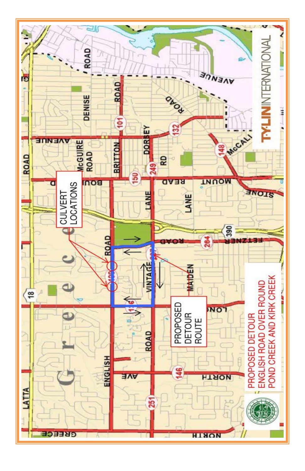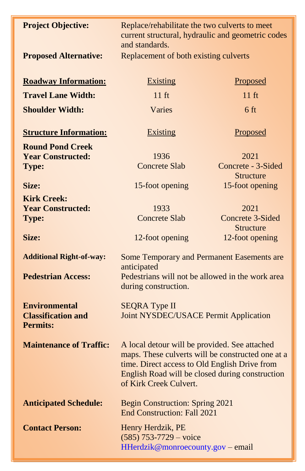| <b>Project Objective:</b>                                            | Replace/rehabilitate the two culverts to meet<br>current structural, hydraulic and geometric codes<br>and standards.                                                                                                             |                                                         |
|----------------------------------------------------------------------|----------------------------------------------------------------------------------------------------------------------------------------------------------------------------------------------------------------------------------|---------------------------------------------------------|
| <b>Proposed Alternative:</b>                                         | Replacement of both existing culverts                                                                                                                                                                                            |                                                         |
| <b>Roadway Information:</b>                                          | <b>Existing</b>                                                                                                                                                                                                                  | Proposed                                                |
| <b>Travel Lane Width:</b>                                            | $11 \text{ ft}$                                                                                                                                                                                                                  | $11 \text{ ft}$                                         |
| <b>Shoulder Width:</b>                                               | Varies                                                                                                                                                                                                                           | 6 <sub>ft</sub>                                         |
| <b>Structure Information:</b>                                        | <b>Existing</b>                                                                                                                                                                                                                  | Proposed                                                |
| <b>Round Pond Creek</b><br><b>Year Constructed:</b><br><b>Type:</b>  | 1936<br><b>Concrete Slab</b>                                                                                                                                                                                                     | 2021<br>Concrete - 3-Sided<br><b>Structure</b>          |
| Size:                                                                | 15-foot opening                                                                                                                                                                                                                  | 15-foot opening                                         |
| <b>Kirk Creek:</b><br><b>Year Constructed:</b>                       | 1933                                                                                                                                                                                                                             | 2021                                                    |
| Type:<br>Size:                                                       | <b>Concrete Slab</b><br>12-foot opening                                                                                                                                                                                          | Concrete 3-Sided<br><b>Structure</b><br>12-foot opening |
|                                                                      |                                                                                                                                                                                                                                  |                                                         |
| <b>Additional Right-of-way:</b>                                      | Some Temporary and Permanent Easements are<br>anticipated                                                                                                                                                                        |                                                         |
| <b>Pedestrian Access:</b>                                            | Pedestrians will not be allowed in the work area<br>during construction.                                                                                                                                                         |                                                         |
| <b>Environmental</b><br><b>Classification and</b><br><b>Permits:</b> | <b>SEQRA Type II</b><br><b>Joint NYSDEC/USACE Permit Application</b>                                                                                                                                                             |                                                         |
| <b>Maintenance of Traffic:</b>                                       | A local detour will be provided. See attached<br>maps. These culverts will be constructed one at a<br>time. Direct access to Old English Drive from<br>English Road will be closed during construction<br>of Kirk Creek Culvert. |                                                         |
| <b>Anticipated Schedule:</b>                                         | Begin Construction: Spring 2021<br><b>End Construction: Fall 2021</b>                                                                                                                                                            |                                                         |
| <b>Contact Person:</b>                                               | Henry Herdzik, PE<br>$(585)$ 753-7729 – voice<br>HHerdzik@monroecounty.gov - email                                                                                                                                               |                                                         |